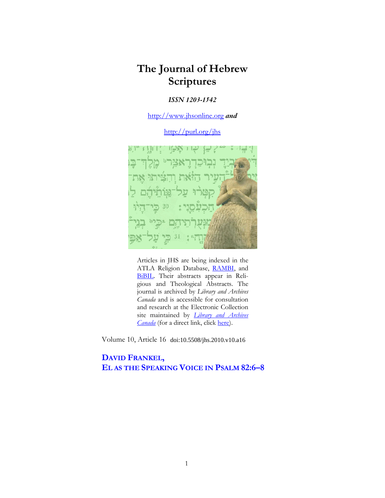# **The Journal of Hebrew Scriptures**

## *ISSN 1203-1542*

http://www.jhsonline.org *and*

http://purl.org/jhs



Articles in JHS are being indexed in the ATLA Religion Database, RAMBI, and BiBIL. Their abstracts appear in Religious and Theological Abstracts. The journal is archived by *Library and Archives Canada* and is accessible for consultation and research at the Electronic Collection site maintained by *Library and Archives Canada* (for a direct link, click here).

Volume 10, Article 16 doi:10.5508/jhs.2010.v10.a16

## **DAVID FRANKEL, EL AS THE SPEAKING VOICE IN PSALM 82:6–8**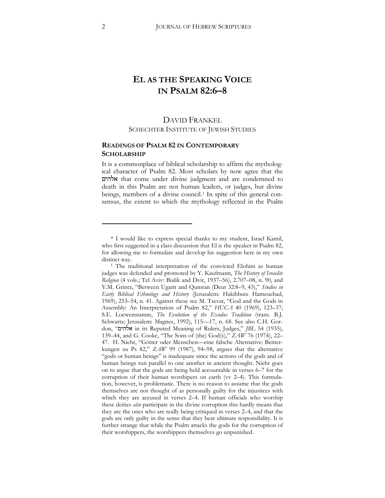## **EL AS THE SPEAKING VOICE IN PSALM 82:6–8**

## DAVID FRANKEL SCHECHTER INSTITUTE OF JEWISH STUDIES

### **READINGS OF PSALM 82 IN CONTEMPORARY SCHOLARSHIP**

It is a commonplace of biblical scholarship to affirm the mythological character of Psalm 82. Most scholars by now agree that the -'!+ that come under divine judgment and are condemned to death in this Psalm are not human leaders, or judges, but divine beings, members of a divine council.<sup>[1](#page-1-0)</sup> In spite of this general consensus, the extent to which the mythology reflected in the Psalm

<span id="page-1-0"></span><sup>\*</sup> I would like to express special thanks to my student, Israel Kamil, who first suggested in a class discussion that El is the speaker in Psalm 82, for allowing me to formulate and develop his suggestion here in my own distinct way.

<sup>1</sup> The traditional interpretation of the convicted Elohim as human judges was defended and promoted by Y. Kaufmann, *The History of Israelite Religion* (4 vols.; Tel Aviv: Bialik and Dvir, 1937–56), 2.707–08, n. 90, and Y.M. Grintz, "Between Ugarit and Qumran (Deut 32:8–9, 43)," *Studies in Early Biblical Ethnology and History* (Jerusalem: Hakibbutz Hameuchad, 1969), 253–54, n. 41. Against these see M. Tsevat, "God and the Gods in Assembly: An Interpretation of Psalm 82," *HUCA* 40 (1969), 123–37^ S.E. Loewenstamm, *The Evolution of the Exodus Tradition* (trans. B.J. Schwartz; Jerusalem: Magnes, 1992), 115—17, n. 68. See also C.H. Gordon, "אלהים in its Reputed Meaning of Rulers, Judges," *JBL* 54 (1935), 139–44, and G. Cooke, "The Sons of (the) God(s)," *ZAW* 76 (1974), 22– 47. H. Niehr, "Götter oder Menschen—eine falsche Alternative: Bemerkungen zu Ps 82," *ZAW* 99 (1987), 94–98, argues that the alternative "gods or human beings" is inadequate since the actions of the gods and of human beings run parallel to one another in ancient thought. Niehr goes on to argue that the gods are being held accountable in verses 6–7 for the corruption of their human worshipers on earth (vv 2-4). This formulation, however, is problematic. There is no reason to assume that the gods themselves are not thought of as personally guilty for the injustices with which they are accused in verses 2–4. If human officials who worship these deities *also* participate in the divine corruption this hardly means that they are the ones who are really being critiqued in verses 2–4, and that the gods are only guilty in the sense that they bear ultimate responsibility. It is further strange that while the Psalm attacks the gods for the corruption of their worshippers, the worshippers themselves go unpunished.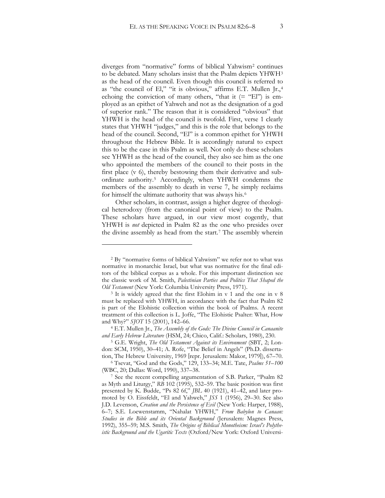diverges from "normative" forms of biblical Yahwism[2](#page-2-0) continues to be debated. Many scholars insist that the Psalm depicts YHWH[3](#page-2-1) as the head of the council. Even though this council is referred to as "the council of El," "it is obvious," affirms E.T. Mullen Jr.,[4](#page-2-2) echoing the conviction of many others, "that it  $(=$  "El") is employed as an epithet of Yahweh and not as the designation of a god of superior rank." The reason that it is considered "obvious" that YHWH is the head of the council is twofold. First, verse 1 clearly states that YHWH "judges," and this is the role that belongs to the head of the council. Second, "El" is a common epithet for YHWH throughout the Hebrew Bible. It is accordingly natural to expect this to be the case in this Psalm as well. Not only do these scholars see YHWH as the head of the council, they also see him as the one who appointed the members of the council to their posts in the first place (v 6), thereby bestowing them their derivative and subordinate authority.[5](#page-2-3) Accordingly, when YHWH condemns the members of the assembly to death in verse 7, he simply reclaims for himself the ultimate authority that was always his.[6](#page-2-4)

Other scholars, in contrast, assign a higher degree of theological heterodoxy (from the canonical point of view) to the Psalm. These scholars have argued, in our view most cogently, that YHWH is *not* depicted in Psalm 82 as the one who presides over the divine assembly as head from the start.[7](#page-2-5) The assembly wherein

<span id="page-2-0"></span><sup>2</sup> By "normative forms of biblical Yahwism" we refer not to what was normative in monarchic Israel, but what was normative for the final editors of the biblical corpus as a whole. For this important distinction see the classic work of M. Smith, *Palestinian Parties and Politics That Shaped the* 

<span id="page-2-1"></span>*Old Testament* (New York: Columbia University Press, 1971).<br><sup>3</sup> It is widely agreed that the first Elohim in v 1 and the one in v 8 must be replaced with YHWH, in accordance with the fact that Psalm 82 is part of the Elohistic collection within the book of Psalms. A recent treatment of this collection is L. Joffe, "The Elohistic Psalter: What, How and Why?" *SJOT* 15 (2001), 142–66. 4 E.T. Mullen Jr., *The Assembly of the Gods: The Divine Council in Canaanite* 

<span id="page-2-2"></span>and Early Hebrew Literature (HSM, 24; Chico, Calif.: Scholars, 1980), 230.

<span id="page-2-3"></span><sup>&</sup>lt;sup>5</sup> G.E. Wright, *The Old Testament Against its Environment* (SBT, 2; London: SCM, 1950), 30-41; A. Rofe, "The Belief in Angels" (Ph.D. dissertation, The Hebrew University, 1969 [repr. Jerusalem: Makor, 1979]), 67–70.

<span id="page-2-4"></span><sup>6</sup> Tsevat, "God and the Gods," 129, 133–34^ M.E. Tate, *Psalms 51–100* 

<span id="page-2-5"></span><sup>&</sup>lt;sup>7</sup> See the recent compelling argumentation of S.B. Parker, "Psalm 82 as Myth and Liturgy," *RB* 102 (1995), 532–59. The basic position was first presented by K. Budde, "Ps 82 6f," *JBL* 40 (1921), 41–42, and later promoted by O. Eissfeldt, "El and Yahweh," *JSS* 1 (1956), 29–30. See also J.D. Levenson, *Creation and the Persistence of Evil* (New York: Harper, 1988), 6–7^ S.E. Loewenstamm, "Nahalat YHWH," *From Babylon to Canaan: Studies in the Bible and its Oriental Background* (Jerusalem: Magnes Press, 1992), 355–59^ M.S. Smith, *The Origins of Biblical Monotheism: Israel's Polytheistic Background and the Ugaritic Texts* (Oxford/New York: Oxford Universi-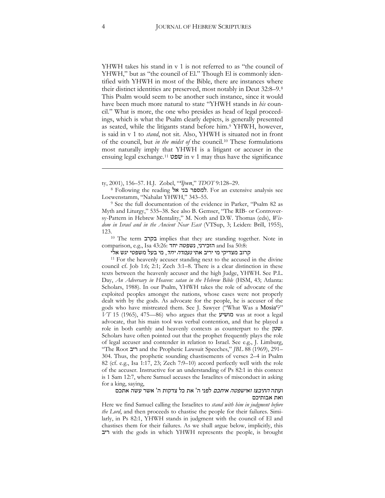YHWH takes his stand in v 1 is not referred to as "the council of YHWH," but as "the council of El." Though El is commonly identified with YHWH in most of the Bible, there are instances where their distinct identities are preserved, most notably in Deut 32:8–9.[8](#page-3-0) This Psalm would seem to be another such instance, since it would have been much more natural to state "YHWH stands in *his* council." What is more, the one who presides as head of legal proceedings, which is what the Psalm clearly depicts, is generally presented as seated, while the litigants stand before him.[9](#page-3-1) YHWH, however, is said in v 1 to *stand*, not sit. Also, YHWH is situated not in front of the council, but *in the midst of* the council.[10](#page-3-2) These formulations most naturally imply that YHWH is a litigant or accuser in the ensuing legal exchange.<sup>[11](#page-3-3)</sup>  $\overline{w}$  in v 1 may thus have the significance

<span id="page-3-0"></span>8 Following the reading למספר בני אל. For an extensive analysis see Loewenstamm, "Nahalat YHWH," 343–55.

<span id="page-3-1"></span><sup>9</sup> See the full documentation of the evidence in Parker, "Psalm 82 as Myth and Liturgy," 535–38. See also B. Gemser, "The RIB- or Controversy-Pattern in Hebrew Mentality," M. Noth and D.W. Thomas (eds), *Wis*dom in Israel and in the Ancient Near East (VTSup, 3; Leiden: Brill, 1955), 123.<br><sup>10</sup> The term **בקרב** implies that they are standing together. Note in

<span id="page-3-2"></span>comparison, e.g., Isa 43:26: חובירני, נשפטה and Isa 50:8:

קרוב מצדיקי מי יריב אתי *נעמדה יחד*, מי בעל משפטי יגש אלי

<span id="page-3-3"></span><sup>11</sup> For the heavenly accuser standing next to the accused in the divine council cf. Job 1:6; 2:1; Zech 3:1–8. There is a clear distinction in these texts between the heavenly accuser and the high Judge, YHWH. See P.L. Day, *An Adversary in Heaven: satan in the Hebrew Bible* (HSM, 43; Atlanta: Scholars, 1988). In our Psalm, YHWH takes the role of advocate of the exploited peoples amongst the nations, whose cases were not properly dealt with by the gods. As advocate for the people, he is accuser of the gods who have mistreated them. See J. Sawyer ("What Was a Mosia"?"  $VT$  15 (1965), 475–86) who argues that the **מושיע** was at root a legal advocate, that his main tool was verbal contention, and that he played a role in both earthly and heavenly contexts as counterpart to the  $\n *v*$ . Scholars have often pointed out that the prophet frequently plays the role of legal accuser and contender in relation to Israel. See e.g., J. Limburg, "The Root ': and the Prophetic Lawsuit Speeches," *JBL* 88 (1969), 291– 304. Thus, the prophetic sounding chastisements of verses 2–4 in Psalm 82 (cf. e.g., Isa 1:17, 23; Zech 7:9–10) accord perfectly well with the role of the accuser. Instructive for an understanding of Ps 82:1 in this context is 1 Sam 12:7, where Samuel accuses the Israelites of misconduct in asking for a king, saying,

#### ועתה *התיבצו ואישפטה איתכם* לפני ה' את כל צדקות ה' אשר עשה אתכם ואת אבותיכם

Here we find Samuel calling the Israelites to *stand with him in judgment before the Lord*, and then proceeds to chastise the people for their failures. Similarly, in Ps 82:1, YHWH stands in judgment with the council of El and chastises them for their failures. As we shall argue below, implicitly, this ': with the gods in which YHWH represents the people, is brought

-

ty, 2001), 156–57. H.J. Zobel, "*३ljwn*," *TDOT* 9:128–29.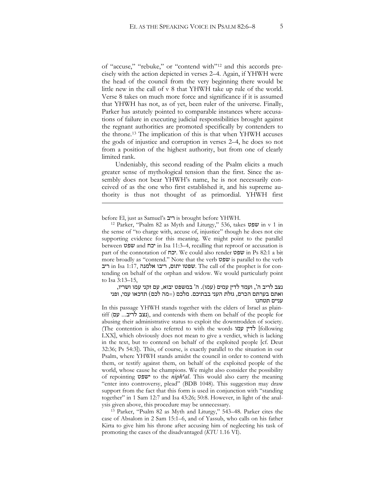of "accuse," "rebuke," or "contend with"[12](#page-4-0) and this accords precisely with the action depicted in verses 2–4. Again, if YHWH were the head of the council from the very beginning there would be little new in the call of v 8 that YHWH take up rule of the world. Verse 8 takes on much more force and significance if it is assumed that YHWH has not, as of yet, been ruler of the universe. Finally, Parker has astutely pointed to comparable instances where accusations of failure in executing judicial responsibilities brought against the regnant authorities are promoted specifically by contenders to the throne.[13](#page-4-1) The implication of this is that when YHWH accuses the gods of injustice and corruption in verses 2–4, he does so not from a position of the highest authority, but from one of clearly limited rank.

Undeniably, this second reading of the Psalm elicits a much greater sense of mythological tension than the first. Since the assembly does not bear YHWH's name, he is not necessarily conceived of as the one who first established it, and his supreme authority is thus not thought of as primordial. YHWH first

<u>.</u>

<span id="page-4-0"></span>before El, just as Samuel's 'וביב is brought before YHWH.<br><sup>12</sup> Parker, "Psalm 82 as Myth and Liturgy," 536, takes  $\psi$  in v 1 in the sense of "to charge with, accuse of, injustice" though he does not cite supporting evidence for this meaning. We might point to the parallel between &6< and %)' in Isa 11:3–4, recalling that reproof or accusation is part of the connotation of "יכח. We could also render  $\omega$ in Ps 82:1 a bit more broadly as "contend." Note that the verb שפט is parallel to the verb יתום, ריבו אלמנה Isa 1:17, שפטו יתום, שפטו דיבו אלמנה. The call of the prophet is for contending on behalf of the orphan and widow. We would particularly point to Isa 3:13–15,

נצב לריב ה', ועמד לדין עמים (עמו). ה' במשפט יבוא, עם זקני עמו ושריו, ואתם בערתם הכרם, גזלת העני בבתיכם. מלכם (=מה לכם) תדכאו עמי, ופני עניים תטחנו

In this passage YHWH stands together with the elders of Israel as plain- $\text{diff}$  (נצב לריב... עם), and contends with them on behalf of the people for abusing their administrative status to exploit the downtrodden of society. (The contention is also referred to with the words  $\forall$ לדין עמו LXX], which obviously does not mean to give a verdict, which is lacking in the text, but to contend on behalf of the exploited people [cf. Deut 32:36; Ps 54:3]). This, of course, is exactly parallel to the situation in our Psalm, where YHWH stands amidst the council in order to contend with them, or testify against them, on behalf of the exploited people of the world, whose cause he champions. We might also consider the possibility of repointing &6<' to the *niph३al*. This would also carry the meaning "enter into controversy, plead" (BDB 1048). This suggestion may draw support from the fact that this form is used in conjunction with "standing together" in 1 Sam 12:7 and Isa 43:26; 50:8. However, in light of the anal-

<span id="page-4-1"></span>ysis given above, this procedure may be unnecessary. 13 Parker, "Psalm 82 as Myth and Liturgy," 543–48. Parker cites the case of Absalom in 2 Sam 15:1–6, and of Yassub, who calls on his father Kirta to give him his throne after accusing him of neglecting his task of promoting the cases of the disadvantaged (*KTU* 1.16 VI).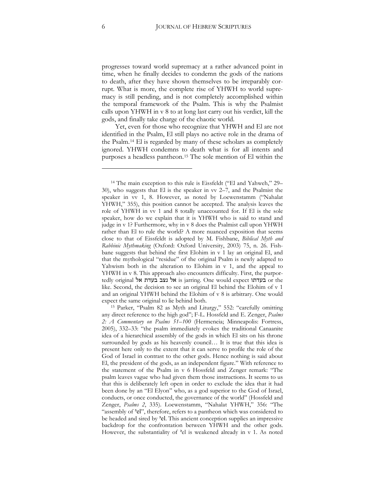progresses toward world supremacy at a rather advanced point in time, when he finally decides to condemn the gods of the nations to death, after they have shown themselves to be irreparably corrupt. What is more, the complete rise of YHWH to world supremacy is still pending, and is not completely accomplished within the temporal framework of the Psalm. This is why the Psalmist calls upon YHWH in v 8 to at long last carry out his verdict, kill the gods, and finally take charge of the chaotic world.

Yet, even for those who recognize that YHWH and El are not identified in the Psalm, El still plays no active role in the drama of the Psalm.[14](#page-5-0) El is regarded by many of these scholars as completely ignored. YHWH condemns to death what is for all intents and purposes a headless pantheon.[15](#page-5-1) The sole mention of El within the

<span id="page-5-0"></span><sup>14</sup> The main exception to this rule is Eissfeldt ("El and Yahweh," 29– 30), who suggests that El is the speaker in vv 2–7, and the Psalmist the speaker in vv 1, 8. However, as noted by Loewenstamm ("Nahalat YHWH," 355), this position cannot be accepted. The analysis leaves the role of YHWH in vv 1 and 8 totally unaccounted for. If El is the sole speaker, how do we explain that it is YHWH who is said to stand and judge in v 1? Furthermore, why in v 8 does the Psalmist call upon YHWH rather than El to rule the world? A more nuanced exposition that seems close to that of Eissfeldt is adopted by M. Fishbane, *Biblical Myth and Rabbinic Mythmaking* (Oxford: Oxford University, 2003) 75, n. 26. Fishbane suggests that behind the first Elohim in v 1 lay an original El, and that the mythological "residue" of the original Psalm is newly adapted to Yahwism both in the alteration to Elohim in v 1, and the appeal to YHWH in v 8. This approach also encounters difficulty. First, the purportedly original  $\forall x$  is jarring. One would expect בעדתו or the like. Second, the decision to see an original El behind the Elohim of v 1 and an original YHWH behind the Elohim of v 8 is arbitrary. One would

<span id="page-5-1"></span>expect the same original to lie behind both. 15 Parker, "Psalm 82 as Myth and Liturgy," 552: "carefully omitting any direct reference to the high god"; F-L. Hossfeld and E. Zenger, *Psalms* 2: *A Commentary on Psalms 51–100* (Hermeneia; Minneapolis: Fortress, 2005), 332–33: "the psalm immediately evokes the traditional Canaanite idea of a hierarchical assembly of the gods in which El sits on his throne surrounded by gods as his heavenly council… It is true that this idea is present here only to the extent that it can serve to profile the role of the God of Israel in contrast to the other gods. Hence nothing is said about El, the president of the gods, as an independent figure." With reference to the statement of the Psalm in v 6 Hossfeld and Zenger remark: "The psalm leaves vague who had given them those instructions. It seems to us that this is deliberately left open in order to exclude the idea that it had been done by an "El Elyon" who, as a god superior to the God of Israel, conducts, or once conducted, the governance of the world" (Hossfeld and Zenger, *Psalms 2*, 335). Loewenstamm, "Nahalat YHWH," 356: "The "assembly of 'el", therefore, refers to a pantheon which was considered to be headed and sired by <sup>2</sup>el. This ancient conception supplies an impressive backdrop for the confrontation between YHWH and the other gods. However, the substantiality of  $\textdegree$ el is weakened already in v 1. As noted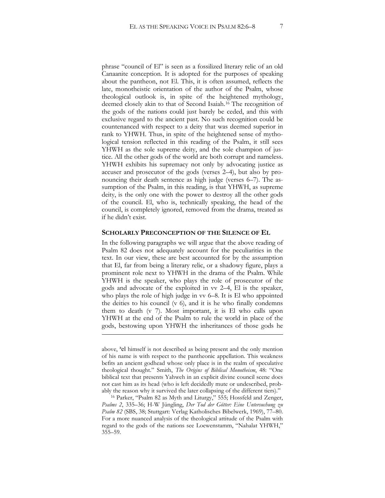phrase "council of El" is seen as a fossilized literary relic of an old Canaanite conception. It is adopted for the purposes of speaking about the pantheon, not El. This, it is often assumed, reflects the late, monotheistic orientation of the author of the Psalm, whose theological outlook is, in spite of the heightened mythology, deemed closely akin to that of Second Isaiah.[16](#page-6-0) The recognition of the gods of the nations could just barely be ceded, and this with exclusive regard to the ancient past. No such recognition could be countenanced with respect to a deity that was deemed superior in rank to YHWH. Thus, in spite of the heightened sense of mythological tension reflected in this reading of the Psalm, it still sees YHWH as the sole supreme deity, and the sole champion of justice. All the other gods of the world are both corrupt and nameless. YHWH exhibits his supremacy not only by advocating justice as accuser and prosecutor of the gods (verses 2–4), but also by pronouncing their death sentence as high judge (verses 6–7). The assumption of the Psalm, in this reading, is that YHWH, as supreme deity, is the only one with the power to destroy all the other gods of the council. El, who is, technically speaking, the head of the council, is completely ignored, removed from the drama, treated as if he didn't exist.

#### **SCHOLARLY PRECONCEPTION OF THE SILENCE OF EL**

In the following paragraphs we will argue that the above reading of Psalm 82 does not adequately account for the peculiarities in the text. In our view, these are best accounted for by the assumption that El, far from being a literary relic, or a shadowy figure, plays a prominent role next to YHWH in the drama of the Psalm. While YHWH is the speaker, who plays the role of prosecutor of the gods and advocate of the exploited in vv 2–4, El is the speaker, who plays the role of high judge in vv 6–8. It is El who appointed the deities to his council  $(v_0)$ , and it is he who finally condemns them to death (v 7). Most important, it is El who calls upon YHWH at the end of the Psalm to rule the world in place of the gods, bestowing upon YHWH the inheritances of those gods he

1

above, 'el himself is not described as being present and the only mention of his name is with respect to the pantheonic appellation. This weakness befits an ancient godhead whose only place is in the realm of speculative theological thought." Smith, *The Origins of Biblical Monotheism*, 48: "One biblical text that presents Yahweh in an explicit divine council scene does not cast him as its head (who is left decidedly mute or undescribed, probably the reason why it survived the later collapsing of the different tiers)."

<span id="page-6-0"></span><sup>&</sup>lt;sup>16</sup> Parker, "Psalm 82 as Myth and Liturgy," 555; Hossfeld and Zenger, *Psalms 2*, 335–36^ H-W Jüngling, *Der Tod der Götter: Eine Untersuchung zu*  Psalm 82 (SBS, 38; Stuttgart: Verlag Katholisches Bibelwerk, 1969), 77–80. For a more nuanced analysis of the theological attitude of the Psalm with regard to the gods of the nations see Loewenstamm, "Nahalat YHWH," 355–59.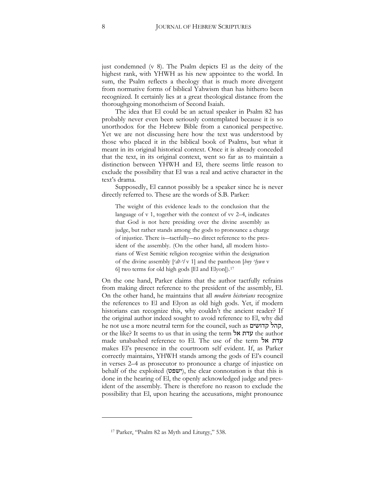just condemned (v 8). The Psalm depicts El as the deity of the highest rank, with YHWH as his new appointee to the world. In sum, the Psalm reflects a theology that is much more divergent from normative forms of biblical Yahwism than has hitherto been recognized. It certainly lies at a great theological distance from the thoroughgoing monotheism of Second Isaiah.

The idea that El could be an actual speaker in Psalm 82 has probably never even been seriously contemplated because it is so unorthodox for the Hebrew Bible from a canonical perspective. Yet we are not discussing here how the text was understood by those who placed it in the biblical book of Psalms, but what it meant in its original historical context. Once it is already conceded that the text, in its original context, went so far as to maintain a distinction between YHWH and El, there seems little reason to exclude the possibility that El was a real and active character in the text's drama.

Supposedly, El cannot possibly be a speaker since he is never directly referred to. These are the words of S.B. Parker:

The weight of this evidence leads to the conclusion that the language of v 1, together with the context of vv 2–4, indicates that God is not here presiding over the divine assembly as judge, but rather stands among the gods to pronounce a charge of injustice. There is—tactfully—no direct reference to the president of the assembly. (On the other hand, all modern historians of West Semitic religion recognize within the designation of the divine assembly  $\lceil \frac{c}{dt-1} \rceil$  and the pantheon  $\lceil \frac{b}{m} \rceil$   $\frac{c}{m}$  v 6] two terms for old high gods [El and Elyon]).[17](#page-7-0)

On the one hand, Parker claims that the author tactfully refrains from making direct reference to the president of the assembly, El. On the other hand, he maintains that all *modern historians* recognize the references to El and Elyon as old high gods. Yet, if modern historians can recognize this, why couldn't the ancient reader? If the original author indeed sought to avoid reference to El, why did he not use a more neutral term for the council, such as קהל קדושים, or the like? It seems to us that in using the term  $\forall x$  the author made unabashed reference to El. The use of the term  $\forall x$ makes El's presence in the courtroom self evident. If, as Parker correctly maintains, YHWH stands among the gods of El's council in verses 2–4 as prosecutor to pronounce a charge of injustice on behalf of the exploited ( $w$ ישפ $v$ ), the clear connotation is that this is done in the hearing of El, the openly acknowledged judge and president of the assembly. There is therefore no reason to exclude the possibility that El, upon hearing the accusations, might pronounce

<span id="page-7-0"></span> $\ddot{\phantom{a}}$ 

<sup>17</sup> Parker, "Psalm 82 as Myth and Liturgy," 538.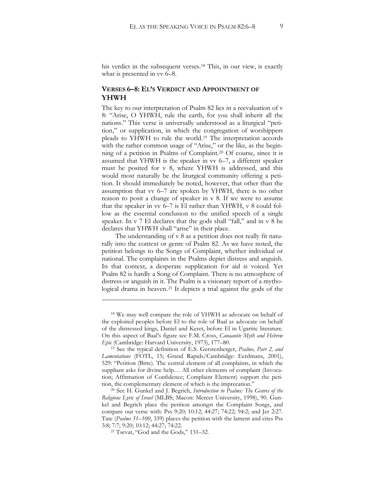his verdict in the subsequent verses.[18](#page-8-0) This, in our view, is exactly what is presented in vv 6–8.

### **VERSES 6–8: EL'S VERDICT AND APPOINTMENT OF YHWH**

The key to our interpretation of Psalm 82 lies in a reevaluation of v 8: "Arise, O YHWH, rule the earth, for you shall inherit all the nations." This verse is universally understood as a liturgical "petition," or supplication, in which the congregation of worshippers pleads to YHWH to rule the world.[19](#page-8-1) The interpretation accords with the rather common usage of "Arise," or the like, as the beginning of a petition in Psalms of Complaint.[20](#page-8-2) Of course, since it is assumed that YHWH is the speaker in vv 6–7, a different speaker must be posited for v 8, where YHWH is addressed, and this would most naturally be the liturgical community offering a petition. It should immediately be noted, however, that other than the assumption that vv 6–7 are spoken by YHWH, there is no other reason to posit a change of speaker in v 8. If we were to assume that the speaker in vv 6–7 is El rather than YHWH, v 8 could follow as the essential conclusion to the unified speech of a single speaker. In v 7 El declares that the gods shall "fall," and in v 8 he declares that YHWH shall "arise" in their place.

The understanding of v 8 as a petition does not really fit naturally into the context or genre of Psalm 82. As we have noted, the petition belongs to the Songs of Complaint, whether individual or national. The complaints in the Psalms depict distress and anguish. In that context, a desperate supplication for aid is voiced. Yet Psalm 82 is hardly a Song of Complaint. There is no atmosphere of distress or anguish in it. The Psalm is a visionary report of a mythological drama in heaven.[21](#page-8-3) It depicts a trial against the gods of the

<span id="page-8-0"></span><sup>18</sup> We may well compare the role of YHWH as advocate on behalf of the exploited peoples before El to the role of Baal as advocate on behalf of the distressed kings, Daniel and Keret, before El in Ugaritic literature. On this aspect of Baal's figure see F.M. Cross, *Canaanite Myth and Hebrew Epic* (Cambridge: Harvard University, 1973), 177–80.<br><sup>19</sup> See the typical definition of E.S. Gerstenberger, *Psalms, Part 2, and* 

<span id="page-8-1"></span>Lamentations (FOTL, 15; Grand Rapids/Cambridge: Eerdmans, 2001), 529: "Petition (Bitte). The central element of all complaints, in which the suppliant asks for divine help… All other elements of complaint (Invocation; Affirmation of Confidence; Complaint Element) support the petition, the complementary element of which is the imprecation." 20 See H. Gunkel and J. Begrich, *Introduction to Psalms: The Genres of the* 

<span id="page-8-3"></span><span id="page-8-2"></span>Religious Lyric of Israel (MLBS; Macon: Mercer University, 1998), 90. Gunkel and Begrich place the petition amongst the Complaint Songs, and compare our verse with: Pss 9:20; 10:12; 44:27; 74:22; 94:2; and Jer 2:27. Tate (*Psalms 51–100*, 339) places the petition with the lament and cites Pss 3:8; 7:7; 9:20; 10:12; 44:27; 74:22.<br><sup>21</sup> Tsevat, "God and the Gods," 131–32.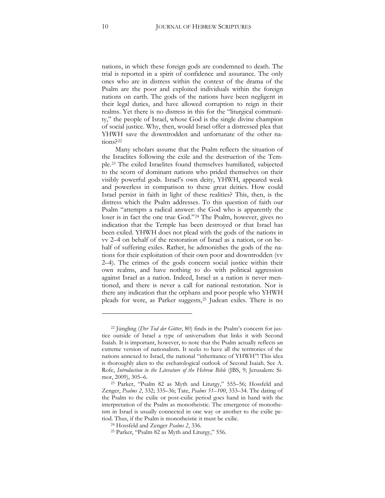nations, in which these foreign gods are condemned to death. The trial is reported in a spirit of confidence and assurance. The only ones who are in distress within the context of the drama of the Psalm are the poor and exploited individuals within the foreign nations on earth. The gods of the nations have been negligent in their legal duties, and have allowed corruption to reign in their realms. Yet there is no distress in this for the "liturgical community," the people of Israel, whose God is the single divine champion of social justice. Why, then, would Israel offer a distressed plea that YHWH save the downtrodden and unfortunate of the other nations?[22](#page-9-0)

Many scholars assume that the Psalm reflects the situation of the Israelites following the exile and the destruction of the Temple[.23](#page-9-1) The exiled Israelites found themselves humiliated, subjected to the scorn of dominant nations who prided themselves on their visibly powerful gods. Israel's own deity, YHWH, appeared weak and powerless in comparison to these great deities. How could Israel persist in faith in light of these realities? This, then, is the distress which the Psalm addresses. To this question of faith our Psalm "attempts a radical answer: the God who is apparently the loser is in fact the one true God."[24](#page-9-2) The Psalm, however, gives no indication that the Temple has been destroyed or that Israel has been exiled. YHWH does not plead with the gods of the nations in vv 2–4 on behalf of the restoration of Israel as a nation, or on behalf of suffering exiles. Rather, he admonishes the gods of the nations for their exploitation of their own poor and downtrodden (vv 2–4). The crimes of the gods concern social justice within their own realms, and have nothing to do with political aggression against Israel as a nation. Indeed, Israel as a nation is never mentioned, and there is never a call for national restoration. Nor is there any indication that the orphans and poor people who YHWH pleads for were, as Parker suggests,[25](#page-9-3) Judean exiles. There is no

 $\ddot{\phantom{a}}$ 

<span id="page-9-0"></span><sup>22</sup> Jüngling (*Der Tod der Götter*, 80) finds in the Psalm's concern for justice outside of Israel a type of universalism that links it with Second Isaiah. It is important, however, to note that the Psalm actually reflects an extreme version of nationalism. It seeks to have all the territories of the nations annexed to Israel, the national "inheritance of YHWH"! This idea is thoroughly alien to the eschatological outlook of Second Isaiah. See A. Rofe, *Introduction to the Literature of the Hebrew Bible* (JBS, 9; Jerusalem: Simor, 2009), 305–6.

<span id="page-9-2"></span><span id="page-9-1"></span><sup>&</sup>lt;sup>23</sup> Parker, "Psalm 82 as Myth and Liturgy," 555-56; Hossfeld and Zenger, *Psalms 2*, 332; 335–36; Tate, *Psalms* 51–100, 333–34. The dating of the Psalm to the exilic or post-exilic period goes hand in hand with the interpretation of the Psalm as monotheistic. The emergence of monotheism in Israel is usually connected in one way or another to the exilic period. Thus, if the Psalm is monotheistic it must be exilic. 24 Hossfeld and Zenger *Psalms 2*, 336.

<span id="page-9-3"></span><sup>25</sup> Parker, "Psalm 82 as Myth and Liturgy," 556.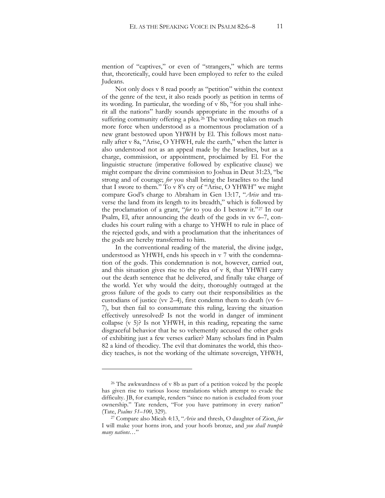mention of "captives," or even of "strangers," which are terms that, theoretically, could have been employed to refer to the exiled Judeans.

Not only does v 8 read poorly as "petition" within the context of the genre of the text, it also reads poorly as petition in terms of its wording. In particular, the wording of v 8b, "for you shall inherit all the nations" hardly sounds appropriate in the mouths of a suffering community offering a plea.[26](#page-10-0) The wording takes on much more force when understood as a momentous proclamation of a new grant bestowed upon YHWH by El. This follows most naturally after v 8a, "Arise, O YHWH, rule the earth," when the latter is also understood not as an appeal made by the Israelites, but as a charge, commission, or appointment, proclaimed by El. For the linguistic structure (imperative followed by explicative clause) we might compare the divine commission to Joshua in Deut 31:23, "be strong and of courage; for you shall bring the Israelites to the land that I swore to them." To v 8's cry of "Arise, O YHWH" we might compare God's charge to Abraham in Gen 13:17, "*Arise* and traverse the land from its length to its breadth," which is followed by the proclamation of a grant, "*for* to you do I bestow it."[27](#page-10-1) In our Psalm, El, after announcing the death of the gods in vv 6–7, concludes his court ruling with a charge to YHWH to rule in place of the rejected gods, and with a proclamation that the inheritances of the gods are hereby transferred to him.

In the conventional reading of the material, the divine judge, understood as YHWH, ends his speech in v 7 with the condemnation of the gods. This condemnation is not, however, carried out, and this situation gives rise to the plea of v 8, that YHWH carry out the death sentence that he delivered, and finally take charge of the world. Yet why would the deity, thoroughly outraged at the gross failure of the gods to carry out their responsibilities as the custodians of justice (vv 2–4), first condemn them to death (vv 6– 7), but then fail to consummate this ruling, leaving the situation effectively unresolved? Is not the world in danger of imminent collapse (v 5)? Is not YHWH, in this reading, repeating the same disgraceful behavior that he so vehemently accused the other gods of exhibiting just a few verses earlier? Many scholars find in Psalm 82 a kind of theodicy. The evil that dominates the world, this theodicy teaches, is not the working of the ultimate sovereign, YHWH,

<span id="page-10-0"></span><sup>&</sup>lt;sup>26</sup> The awkwardness of v 8b as part of a petition voiced by the people has given rise to various loose translations which attempt to evade the difficulty. JB, for example, renders "since no nation is excluded from your ownership." Tate renders, "For you have patrimony in every nation" (Tate, *Psalms 51–100*, 329). 27 Compare also Micah 4:13, "*Arise* and thresh, O daughter of Zion, *for*

<span id="page-10-1"></span>I will make your horns iron, and your hoofs bronze, and *you shall trample many nations*…"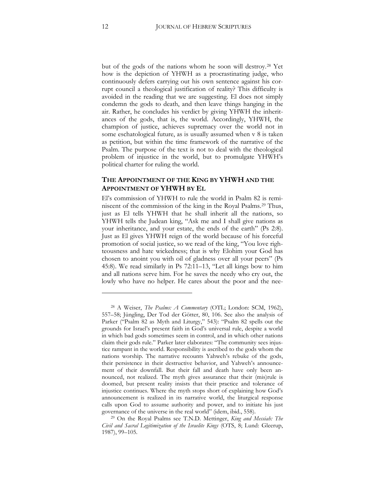but of the gods of the nations whom he soon will destroy.[28](#page-11-0) Yet how is the depiction of YHWH as a procrastinating judge, who continuously defers carrying out his own sentence against his corrupt council a theological justification of reality? This difficulty is avoided in the reading that we are suggesting. El does not simply condemn the gods to death, and then leave things hanging in the air. Rather, he concludes his verdict by giving YHWH the inheritances of the gods, that is, the world. Accordingly, YHWH, the champion of justice, achieves supremacy over the world not in some eschatological future, as is usually assumed when v 8 is taken as petition, but within the time framework of the narrative of the Psalm. The purpose of the text is not to deal with the theological problem of injustice in the world, but to promulgate YHWH's political charter for ruling the world.

## **THE APPOINTMENT OF THE KING BY YHWH AND THE APPOINTMENT OF YHWH BY EL**

El's commission of YHWH to rule the world in Psalm 82 is reminiscent of the commission of the king in the Royal Psalms.[29](#page-11-1) Thus, just as El tells YHWH that he shall inherit all the nations, so YHWH tells the Judean king, "Ask me and I shall give nations as your inheritance, and your estate, the ends of the earth" (Ps 2:8). Just as El gives YHWH reign of the world because of his forceful promotion of social justice, so we read of the king, "You love righteousness and hate wickedness^ that is why Elohim your God has chosen to anoint you with oil of gladness over all your peers" (Ps 45:8). We read similarly in Ps 72:11–13, "Let all kings bow to him and all nations serve him. For he saves the needy who cry out, the lowly who have no helper. He cares about the poor and the nee-

<span id="page-11-0"></span><sup>&</sup>lt;sup>28</sup> A Weiser, *The Psalms: A Commentary* (OTL; London: SCM, 1962), 557–58^ Jüngling, Der Tod der Götter, 80, 106. See also the analysis of Parker ("Psalm 82 as Myth and Liturgy," 543): "Psalm 82 spells out the grounds for Israel's present faith in God's universal rule, despite a world in which bad gods sometimes seem in control, and in which other nations claim their gods rule." Parker later elaborates: "The community sees injustice rampant in the world. Responsibility is ascribed to the gods whom the nations worship. The narrative recounts Yahweh's rebuke of the gods, their persistence in their destructive behavior, and Yahweh's announcement of their downfall. But their fall and death have only been announced, not realized. The myth gives assurance that their (mis)rule is doomed, but present reality insists that their practice and tolerance of injustice continues. Where the myth stops short of explaining how God's announcement is realized in its narrative world, the liturgical response calls upon God to assume authority and power, and to initiate his just governance of the universe in the real world" (idem, ibid., 558).

<span id="page-11-1"></span><sup>29</sup> On the Royal Psalms see T.N.D. Mettinger, *King and Messiah: The Civil and Sacral Legitimization of the Israelite Kings* (OTS, 8^ Lund: Gleerup, 1987), 99–105.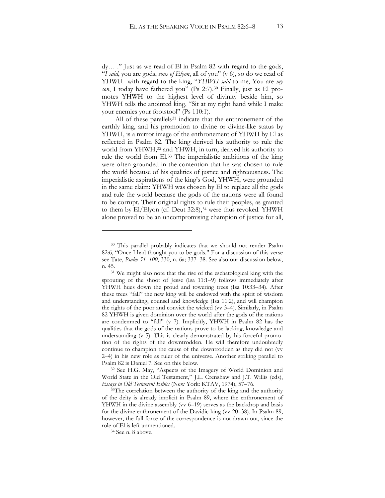dy… ." Just as we read of El in Psalm 82 with regard to the gods, "*I said*, you are gods, *sons of Elyon*, all of you" (v 6), so do we read of YHWH with regard to the king, "*YHWH said* to me, You are *my son*, I today have fathered you" (Ps 2:7).[30](#page-12-0) Finally, just as El promotes YHWH to the highest level of divinity beside him, so YHWH tells the anointed king, "Sit at my right hand while I make your enemies your footstool" (Ps 110:1).

All of these parallels<sup>[31](#page-12-1)</sup> indicate that the enthronement of the earthly king, and his promotion to divine or divine-like status by YHWH, is a mirror image of the enthronement of YHWH by El as reflected in Psalm 82. The king derived his authority to rule the world from YHWH,<sup>[32](#page-12-2)</sup> and YHWH, in turn, derived his authority to rule the world from El.[33](#page-12-3) The imperialistic ambitions of the king were often grounded in the contention that he was chosen to rule the world because of his qualities of justice and righteousness. The imperialistic aspirations of the king's God, YHWH, were grounded in the same claim: YHWH was chosen by El to replace all the gods and rule the world because the gods of the nations were all found to be corrupt. Their original rights to rule their peoples, as granted to them by El/Elyon (cf. Deut 32:8),<sup>[34](#page-12-4)</sup> were thus revoked. YHWH alone proved to be an uncompromising champion of justice for all,

 $\ddot{\phantom{a}}$ 

<span id="page-12-0"></span><sup>&</sup>lt;sup>30</sup> This parallel probably indicates that we should not render Psalm 82:6, "Once I had thought you to be gods." For a discussion of this verse see Tate, *Psalm 51–100*, 330, n. 6a; 337–38. See also our discussion below, n. 45. 31 We might also note that the rise of the eschatological king with the

<span id="page-12-1"></span>sprouting of the shoot of Jesse (Isa 11:1–9) follows immediately after YHWH hues down the proud and towering trees (Isa 10:33–34). After these trees "fall" the new king will be endowed with the spirit of wisdom and understanding, counsel and knowledge (Isa 11:2), and will champion the rights of the poor and convict the wicked (vv 3–4). Similarly, in Psalm 82 YHWH is given dominion over the world after the gods of the nations are condemned to "fall" (v 7). Implicitly, YHWH in Psalm 82 has the qualities that the gods of the nations prove to be lacking, knowledge and understanding (v 5). This is clearly demonstrated by his forceful promotion of the rights of the downtrodden. He will therefore undoubtedly continue to champion the cause of the downtrodden as they did not (vv 2–4) in his new role as ruler of the universe. Another striking parallel to Psalm 82 is Daniel 7. See on this below. 32 See H.G. May, "Aspects of the Imagery of World Dominion and

<span id="page-12-2"></span>World State in the Old Testament," J.L. Crenshaw and J.T. Willis (eds), *Essays in Old Testament Ethics* (New York: KTAV, 1974), 57–76.

<span id="page-12-4"></span><span id="page-12-3"></span><sup>&</sup>lt;sup>33</sup>The correlation between the authority of the king and the authority of the deity is already implicit in Psalm 89, where the enthronement of YHWH in the divine assembly (vv 6–19) serves as the backdrop and basis for the divine enthronement of the Davidic king (vv 20–38). In Psalm 89, however, the full force of the correspondence is not drawn out, since the role of El is left unmentioned. 34 See n. 8 above.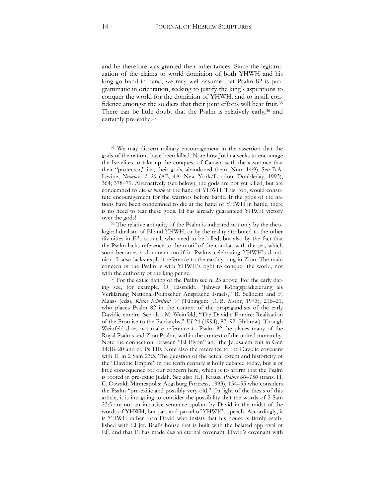and he therefore was granted their inheritances. Since the legitimization of the claims to world dominion of both YHWH and his king go hand in hand, we may well assume that Psalm 82 is programmatic in orientation, seeking to justify the king's aspirations to conquer the world for the dominion of YHWH, and to instill confidence amongst the soldiers that their joint efforts will bear fruit.[35](#page-13-0) There can be little doubt that the Psalm is relatively early,<sup>[36](#page-13-1)</sup> and certainly pre-exilic.[37](#page-13-2)

<span id="page-13-0"></span><sup>35</sup> We may discern military encouragement in the assertion that the gods of the nations have been killed. Note how Joshua seeks to encourage the Israelites to take up the conquest of Canaan with the assurance that their "protector," i.e., their gods, abandoned them (Num 14:9). See B.A. Levine, *Numbers 1-20* (AB, 4A; New York/London: Doubleday, 1993), 364; 378–79. Alternatively (see below), the gods are not yet killed, but are condemned to die *in battle* at the hand of YHWH. This, too, would constitute encouragement for the warriors before battle. If the gods of the nations have been condemned to die at the hand of YHWH in battle, there is no need to fear these gods. El has already guaranteed YHWH victory

<span id="page-13-1"></span>over the gods! 36 The relative antiquity of the Psalm is indicated not only by the theological dualism of El and YHWH, or by the reality attributed to the other divinities in El's council, who need to be killed, but also by the fact that the Psalm lacks reference to the motif of the combat with the sea, which soon becomes a dominant motif in Psalms celebrating YHWH's dominion. It also lacks explicit reference to the earthly king in Zion. The main concern of the Psalm is with YHWH's right to conquer the world, not with the authority of the king per se.<br><sup>37</sup> For the exilic dating of the Psalm see n. 23 above. For the early dat-

<span id="page-13-2"></span>ing see, for example, O. Eissfeldt, "Jahwes Königsprädizierung als Verklärung National-Politischer Anspräche Israels," R. Sellheim and F. Maass (eds), *Kleine Schriften: V* (Tübingen: J.C.B. Mohr, 1973), 216–21, who places Psalm 82 in the context of the propagandists of the early Davidic empire. See also M. Weinfeld, "The Davidic Empire: Realization of the Promise to the Patriarchs," *EI* 24 (1994), 87–92 (Hebrew). Though Weinfeld does not make reference to Psalm 82, he places many of the Royal Psalms and Zion Psalms within the context of the united monarchy. Note the connection between "El Elyon" and the Jerusalem cult in Gen 14:18–20 and cf. Ps 110. Note also the reference to the Davidic covenant with El in 2 Sam 23:5. The question of the actual extent and historicity of the "Davidic Empire" in the tenth century is hotly debated today, but is of little consequence for our concern here, which is to affirm that the Psalm is rooted in pre-exilic Judah. See also H.J. Kraus, *Psalms 60–150* (trans. H. C. Oswald; Minneapolis: Augsburg Fortress, 1993), 154–55 who considers the Psalm "pre-exilic and possibly very old." (In light of the thesis of this article, it is intriguing to consider the possibility that the words of 2 Sam 23:5 are not an intrusive sentence spoken by David in the midst of the words of YHWH, but part and parcel of YHWH's speech. Accordingly, it is YHWH rather than David who insists that his house is firmly established with El [cf. Baal's house that is built with the belated approval of El], and that El has made *him* an eternal covenant. David's covenant with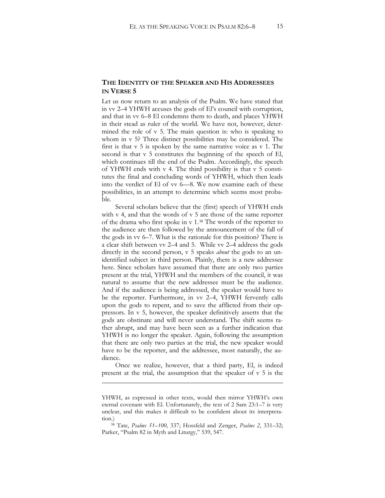#### **THE IDENTITY OF THE SPEAKER AND HIS ADDRESSEES IN VERSE 5**

Let us now return to an analysis of the Psalm. We have stated that in vv 2–4 YHWH accuses the gods of El's council with corruption, and that in vv 6–8 El condemns them to death, and places YHWH in their stead as ruler of the world. We have not, however, determined the role of v 5. The main question is: who is speaking to whom in v 5? Three distinct possibilities may be considered. The first is that v 5 is spoken by the same narrative voice as v 1. The second is that v 5 constitutes the beginning of the speech of El, which continues till the end of the Psalm. Accordingly, the speech of YHWH ends with v 4. The third possibility is that v 5 constitutes the final and concluding words of YHWH, which then leads into the verdict of El of vv 6—8. We now examine each of these possibilities, in an attempt to determine which seems most probable.

Several scholars believe that the (first) speech of YHWH ends with v 4, and that the words of v 5 are those of the same reporter of the drama who first spoke in v 1.[38](#page-14-0) The words of the reporter to the audience are then followed by the announcement of the fall of the gods in vv 6–7. What is the rationale for this position? There is a clear shift between vv 2–4 and 5. While vv 2–4 address the gods directly in the second person, v 5 speaks *about* the gods to an unidentified subject in third person. Plainly, there is a new addressee here. Since scholars have assumed that there are only two parties present at the trial, YHWH and the members of the council, it was natural to assume that the new addressee must be the audience. And if the audience is being addressed, the speaker would have to be the reporter. Furthermore, in vv 2–4, YHWH fervently calls upon the gods to repent, and to save the afflicted from their oppressors. In v 5, however, the speaker definitively asserts that the gods are obstinate and will never understand. The shift seems rather abrupt, and may have been seen as a further indication that YHWH is no longer the speaker. Again, following the assumption that there are only two parties at the trial, the new speaker would have to be the reporter, and the addressee, most naturally, the audience.

Once we realize, however, that a third party, El, is indeed present at the trial, the assumption that the speaker of v 5 is the

**.** 

YHWH, as expressed in other texts, would then mirror YHWH's own eternal covenant with El. Unfortunately, the text of 2 Sam 23:1–7 is very unclear, and this makes it difficult to be confident about its interpretation.)<br><sup>38</sup> Tate, *Psalms 51–100*, 337; Hossfeld and Zenger, *Psalms 2*, 331–32;

<span id="page-14-0"></span>Parker, "Psalm 82 in Myth and Liturgy," 539, 547.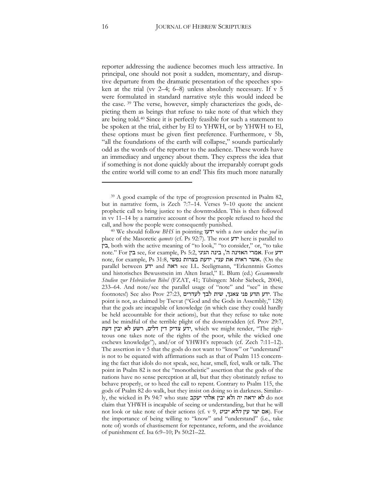reporter addressing the audience becomes much less attractive. In principal, one should not posit a sudden, momentary, and disruptive departure from the dramatic presentation of the speeches spoken at the trial (vv 2–4; 6–8) unless absolutely necessary. If v 5 were formulated in standard narrative style this would indeed be the case. [39](#page-15-0) The verse, however, simply characterizes the gods, depicting them as beings that refuse to take note of that which they are being told[.40](#page-15-1) Since it is perfectly feasible for such a statement to be spoken at the trial, either by El to YHWH, or by YHWH to El, these options must be given first preference. Furthermore, v 5b, "all the foundations of the earth will collapse," sounds particularly odd as the words of the reporter to the audience. These words have an immediacy and urgency about them. They express the idea that if something is not done quickly about the irreparably corrupt gods the entire world will come to an end! This fits much more naturally

<span id="page-15-0"></span><sup>&</sup>lt;sup>39</sup> A good example of the type of progression presented in Psalm 82, but in narrative form, is Zech 7:7–14. Verses 9–10 quote the ancient prophetic call to bring justice to the downtrodden. This is then followed in vv 11–14 by a narrative account of how the people refused to heed the

<span id="page-15-1"></span>call, and how the people were consequently punished. 40 We should follow *BHS* in pointing #3' with a *tsere* under the *yod* in place of the Masoretic *qamets* (cf. Ps 92:7). The root 3' here is parallel to 0', both with the active meaning of "to look," "to consider," or, "to take note." For בין see, for example, Ps 5:2, 'ידע note, for example, Ps 31:8, אשר בצרות עניי, את האית את האית האית. (On the parallel between ידע and ידע see I.L. Seeligmann, "Erkenntnis Gottes und historisches Bewusstsein im Alten Israel," E. Blum (ed.) *Gesammenlte Studien zur Hebräischen Bibel* (FZAT, 41^ Tübingen: Mohr Siebeck, 2004), 233–64. And note/see the parallel usage of "note" and "see" in these footnotes!) See also Prov 27:23, ידע תדע פני צאנך, שית לבך לעדרים point is not, as claimed by Tsevat ("God and the Gods in Assembly," 128) that the gods are incapable of knowledge (in which case they could hardly be held accountable for their actions), but that they refuse to take note and be mindful of the terrible plight of the downtrodden (cf. Prov 29:7, ידע צדיק דין דלים, רשע לא יבין דעת, which we might render, "The righteous one takes note of the rights of the poor, while the wicked one eschews knowledge"), and/or of YHWH's reproach (cf. Zech 7:11–12). The assertion in v 5 that the gods do not want to "know" or "understand" is not to be equated with affirmations such as that of Psalm 115 concerning the fact that idols do not speak, see, hear, smell, feel, walk or talk. The point in Psalm 82 is not the "monotheistic" assertion that the gods of the nations have no sense perception at all, but that they obstinately refuse to behave properly, or to heed the call to repent. Contrary to Psalm 115, the gods of Psalm 82 do walk, but they insist on doing so in darkness. Similar- $\mu$ khe wicked in Ps 94:7 who state לא יראה יה ולא יבין אלהי יעקב claim that YHWH is incapable of seeing or understanding, but that he will not look or take note of their actions (cf. v 9, אם יצר עין הלא יביט). For the importance of being willing to "know" and "understand" (i.e., take note of) words of chastisement for repentance, reform, and the avoidance of punishment cf. Isa 6:9–10^ Ps 50:21–22.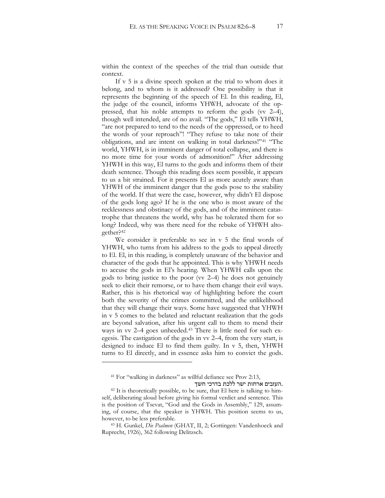within the context of the speeches of the trial than outside that context.

If v 5 is a divine speech spoken at the trial to whom does it belong, and to whom is it addressed? One possibility is that it represents the beginning of the speech of El. In this reading, El, the judge of the council, informs YHWH, advocate of the oppressed, that his noble attempts to reform the gods (vv 2–4), though well intended, are of no avail. "The gods," El tells YHWH, "are not prepared to tend to the needs of the oppressed, or to heed the words of your reproach"! "They refuse to take note of their obligations, and are intent on walking in total darkness!"[41](#page-16-0) "The world, YHWH, is in imminent danger of total collapse, and there is no more time for your words of admonition!" After addressing YHWH in this way, El turns to the gods and informs them of their death sentence. Though this reading does seem possible, it appears to us a bit strained. For it presents El as more acutely aware than YHWH of the imminent danger that the gods pose to the stability of the world. If that were the case, however, why didn't El dispose of the gods long ago? If he is the one who is most aware of the recklessness and obstinacy of the gods, and of the imminent catastrophe that threatens the world, why has he tolerated them for so long? Indeed, why was there need for the rebuke of YHWH altogether?[42](#page-16-1)

We consider it preferable to see in v 5 the final words of YHWH, who turns from his address to the gods to appeal directly to El. El, in this reading, is completely unaware of the behavior and character of the gods that he appointed. This is why YHWH needs to accuse the gods in El's hearing. When YHWH calls upon the gods to bring justice to the poor (vv 2–4) he does not genuinely seek to elicit their remorse, or to have them change their evil ways. Rather, this is his rhetorical way of highlighting before the court both the severity of the crimes committed, and the unlikelihood that they will change their ways. Some have suggested that YHWH in v 5 comes to the belated and reluctant realization that the gods are beyond salvation, after his urgent call to them to mend their ways in vv 2–4 goes unheeded.<sup>[43](#page-16-2)</sup> There is little need for such exegesis. The castigation of the gods in vv 2–4, from the very start, is designed to induce El to find them guilty. In v 5, then, YHWH turns to El directly, and in essence asks him to convict the gods.

 $\overline{a}$ 

העזבים ארחות ישר ללכת בדרכי חשך.

<sup>41</sup> For "walking in darkness" as willful defiance see Prov 2:13,

<span id="page-16-1"></span><span id="page-16-0"></span><sup>42</sup> It is theoretically possible, to be sure, that El here is talking to himself, deliberating aloud before giving his formal verdict and sentence. This is the position of Tsevat, "God and the Gods in Assembly," 129, assuming, of course, that the speaker is YHWH. This position seems to us, however, to be less preferable.<br><sup>43</sup> H. Gunkel, *Die Psalmen* (GHAT, II, 2; Gottingen: Vandenhoeck and

<span id="page-16-2"></span>Ruprecht, 1926), 362 following Delitzsch.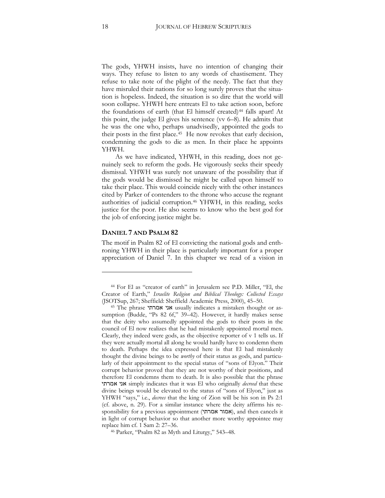The gods, YHWH insists, have no intention of changing their ways. They refuse to listen to any words of chastisement. They refuse to take note of the plight of the needy. The fact that they have misruled their nations for so long surely proves that the situation is hopeless. Indeed, the situation is so dire that the world will soon collapse. YHWH here entreats El to take action soon, before the foundations of earth (that El himself created)<sup>[44](#page-17-0)</sup> falls apart! At this point, the judge El gives his sentence (vv 6–8). He admits that he was the one who, perhaps unadvisedly, appointed the gods to their posts in the first place.[45](#page-17-1) He now revokes that early decision, condemning the gods to die as men. In their place he appoints YHWH.

As we have indicated, YHWH, in this reading, does not genuinely seek to reform the gods. He vigorously seeks their speedy dismissal. YHWH was surely not unaware of the possibility that if the gods would be dismissed he might be called upon himself to take their place. This would coincide nicely with the other instances cited by Parker of contenders to the throne who accuse the regnant authorities of judicial corruption.[46](#page-17-2) YHWH, in this reading, seeks justice for the poor. He also seems to know who the best god for the job of enforcing justice might be.

#### **DANIEL 7 AND PSALM 82**

 $\ddot{\phantom{a}}$ 

The motif in Psalm 82 of El convicting the national gods and enthroning YHWH in their place is particularly important for a proper appreciation of Daniel 7. In this chapter we read of a vision in

<span id="page-17-0"></span><sup>44</sup> For El as "creator of earth" in Jerusalem see P.D. Miller, "El, the Creator of Earth," *Israelite Religion and Biblical Theology: Collected Essays* (JSOTSup, 267^ Sheffield: Sheffield Academic Press, 2000), 45–50. 45 The phrase '=:/ '1 usually indicates a mistaken thought or as-

<span id="page-17-1"></span>sumption (Budde, "Ps 82 6f," 39–42). However, it hardly makes sense that the deity who assumedly appointed the gods to their posts in the council of El now realizes that he had mistakenly appointed mortal men. Clearly, they indeed were gods, as the objective reporter of v 1 tells us. If they were actually mortal all along he would hardly have to condemn them to death. Perhaps the idea expressed here is that El had mistakenly thought the divine beings to be *worthy* of their status as gods, and particularly of their appointment to the special status of "sons of Elyon." Their corrupt behavior proved that they are not worthy of their positions, and therefore El condemns them to death. It is also possible that the phrase '=:/ '1 simply indicates that it was El who originally *decreed* that these divine beings would be elevated to the status of "sons of Elyon," just as YHWH "says," i.e., *decrees* that the king of Zion will be his son in Ps 2:1 (cf. above, n. 29). For a similar instance where the deity affirms his responsibility for a previous appointment (אמור אמרתי), and then cancels it in light of corrupt behavior so that another more worthy appointee may replace him cf. 1 Sam 2: 27–36. 46 Parker, "Psalm 82 as Myth and Liturgy," 543–48.

<span id="page-17-2"></span>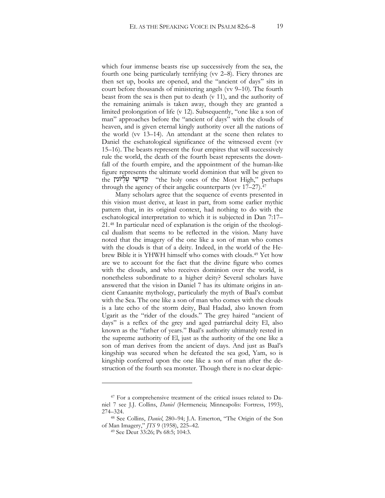which four immense beasts rise up successively from the sea, the fourth one being particularly terrifying (vv 2–8). Fiery thrones are then set up, books are opened, and the "ancient of days" sits in court before thousands of ministering angels (vv 9–10). The fourth beast from the sea is then put to death (v 11), and the authority of the remaining animals is taken away, though they are granted a limited prolongation of life (v 12). Subsequently, "one like a son of man" approaches before the "ancient of days" with the clouds of heaven, and is given eternal kingly authority over all the nations of the world (vv 13–14). An attendant at the scene then relates to Daniel the eschatological significance of the witnessed event (vv 15–16). The beasts represent the four empires that will successively rule the world, the death of the fourth beast represents the downfall of the fourth empire, and the appointment of the human-like figure represents the ultimate world dominion that will be given to the private ones of the Most High," perhaps through the agency of their angelic counterparts (vv 17–27).<sup>[47](#page-18-0)</sup>

Many scholars agree that the sequence of events presented in this vision must derive, at least in part, from some earlier mythic pattern that, in its original context, had nothing to do with the eschatological interpretation to which it is subjected in Dan 7:17– 21.[48](#page-18-1) In particular need of explanation is the origin of the theological dualism that seems to be reflected in the vision. Many have noted that the imagery of the one like a son of man who comes with the clouds is that of a deity. Indeed, in the world of the Hebrew Bible it is YHWH himself who comes with clouds.[49](#page-18-2) Yet how are we to account for the fact that the divine figure who comes with the clouds, and who receives dominion over the world, is nonetheless subordinate to a higher deity? Several scholars have answered that the vision in Daniel 7 has its ultimate origins in ancient Canaanite mythology, particularly the myth of Baal's combat with the Sea. The one like a son of man who comes with the clouds is a late echo of the storm deity, Baal Hadad, also known from Ugarit as the "rider of the clouds." The grey haired "ancient of days" is a reflex of the grey and aged patriarchal deity El, also known as the "father of years." Baal's authority ultimately rested in the supreme authority of El, just as the authority of the one like a son of man derives from the ancient of days. And just as Baal's kingship was secured when he defeated the sea god, Yam, so is kingship conferred upon the one like a son of man after the destruction of the fourth sea monster. Though there is no clear depic-

<span id="page-18-0"></span><sup>47</sup> For a comprehensive treatment of the critical issues related to Daniel 7 see J.J. Collins, *Daniel* (Hermeneia; Minneapolis: Fortress, 1993), 274–324.

<span id="page-18-2"></span><span id="page-18-1"></span><sup>&</sup>lt;sup>48</sup> See Collins, *Daniel*, 280-94; J.A. Emerton, "The Origin of the Son of Man Imagery," *JTS* 9 (1958), 225–42.

<sup>&</sup>lt;sup>49</sup> See Deut 33:26; Ps 68:5; 104:3.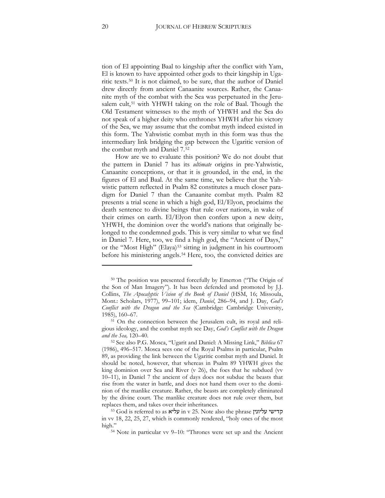tion of El appointing Baal to kingship after the conflict with Yam, El is known to have appointed other gods to their kingship in Ugaritic texts.[50](#page-19-0) It is not claimed, to be sure, that the author of Daniel drew directly from ancient Canaanite sources. Rather, the Canaanite myth of the combat with the Sea was perpetuated in the Jeru-salem cult,<sup>[51](#page-19-1)</sup> with YHWH taking on the role of Baal. Though the Old Testament witnesses to the myth of YHWH and the Sea do not speak of a higher deity who enthrones YHWH after his victory of the Sea, we may assume that the combat myth indeed existed in this form. The Yahwistic combat myth in this form was thus the intermediary link bridging the gap between the Ugaritic version of the combat myth and Daniel 7.[52](#page-19-2)

How are we to evaluate this position? We do not doubt that the pattern in Daniel 7 has its *ultimate* origins in pre-Yahwistic, Canaanite conceptions, or that it is grounded, in the end, in the figures of El and Baal. At the same time, we believe that the Yahwistic pattern reflected in Psalm 82 constitutes a much closer paradigm for Daniel 7 than the Canaanite combat myth. Psalm 82 presents a trial scene in which a high god, El/Elyon, proclaims the death sentence to divine beings that rule over nations, in wake of their crimes on earth. El/Elyon then confers upon a new deity, YHWH, the dominion over the world's nations that originally belonged to the condemned gods. This is very similar to what we find in Daniel 7. Here, too, we find a high god, the "Ancient of Days," or the "Most High" (Elaya)<sup>[53](#page-19-3)</sup> sitting in judgment in his courtroom before his ministering angels.[54](#page-19-4) Here, too, the convicted deities are

<span id="page-19-0"></span><sup>50</sup> The position was presented forcefully by Emerton ("The Origin of the Son of Man Imagery"). It has been defended and promoted by J.J. Collins, *The Apocalyptic Vision of the Book of Daniel* (HSM, 16^ Missoula, Mont.: Scholars, 1977), 99–101^ idem, *Daniel*, 286–94, and J. Day, *God's Conflict with the Dragon and the Sea* (Cambridge: Cambridge University, 1985), 160–67.

<span id="page-19-1"></span><sup>51</sup> On the connection between the Jerusalem cult, its royal and religious ideology, and the combat myth see Day, *God's Conflict with the Dragon and the Sea,* 120–40.

<span id="page-19-2"></span><sup>52</sup> See also P.G. Mosca, "Ugarit and Daniel: A Missing Link," *Biblica* 67 (1986), 496–517. Mosca sees one of the Royal Psalms in particular, Psalm 89, as providing the link between the Ugaritic combat myth and Daniel. It should be noted, however, that whereas in Psalm 89 YHWH gives the king dominion over Sea and River (v 26), the foes that he subdued (vv 10–11), in Daniel 7 the ancient of days does not subdue the beasts that rise from the water in battle, and does not hand them over to the dominion of the manlike creature. Rather, the beasts are completely eliminated by the divine court. The manlike creature does not rule over them, but replaces them, and takes over their inheritances.<br>53 God is referred to as ' $\frac{1}{3}$ עליא  $v$  ' 25. Note also the phrase קדישי עליונין

<span id="page-19-4"></span><span id="page-19-3"></span>in vv 18, 22, 25, 27, which is commonly rendered, "holy ones of the most high."<br><sup>54</sup> Note in particular vv 9–10: "Thrones were set up and the Ancient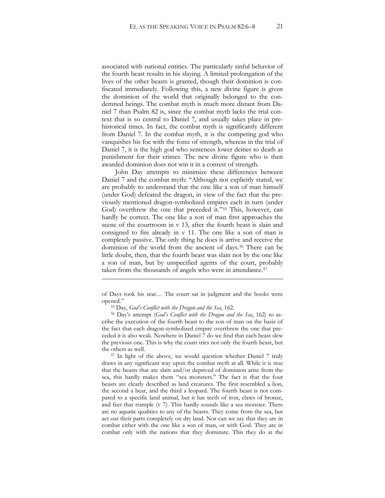associated with national entities. The particularly sinful behavior of the fourth beast results in his slaying. A limited prolongation of the lives of the other beasts is granted, though their dominion is confiscated immediately. Following this, a new divine figure is given the dominion of the world that originally belonged to the condemned beings. The combat myth is much more distant from Daniel 7 than Psalm 82 is, since the combat myth lacks the trial context that is so central to Daniel 7, and usually takes place in prehistorical times. In fact, the combat myth is significantly different from Daniel 7. In the combat myth, it is the competing god who vanquishes his foe with the force of strength, whereas in the trial of Daniel 7, it is the high god who sentences lower deities to death as punishment for their crimes. The new divine figure who is then awarded dominion does not win it in a contest of strength.

John Day attempts to minimize these differences between Daniel 7 and the combat myth: "Although not explicitly stated, we are probably to understand that the one like a son of man himself (under God) defeated the dragon, in view of the fact that the previously mentioned dragon-symbolized empires each in turn (under God) overthrew the one that preceded it."[55](#page-20-0) This, however, can hardly be correct. The one like a son of man first approaches the scene of the courtroom in v 13, after the fourth beast is slain and consigned to fire already in v 11. The one like a son of man is completely passive. The only thing he does is arrive and receive the dominion of the world from the ancient of days.<sup>[56](#page-20-1)</sup> There can be little doubt, then, that the fourth beast was slain not by the one like a son of man, but by unspecified agents of the court, probably taken from the thousands of angels who were in attendance.[57](#page-20-2)

<u>.</u>

<span id="page-20-2"></span>the others as well.<br><sup>57</sup> In light of the above, we would question whether Daniel 7 truly draws in any significant way upon the combat myth at all. While it is true that the beasts that are slain and/or deprived of dominion arise from the sea, this hardly makes them "sea monsters." The fact is that the four beasts are clearly described as land creatures. The first resembled a lion, the second a bear, and the third a leopard. The fourth beast is not compared to a specific land animal, but it has teeth of iron, claws of bronze, and feet that trample (v 7). This hardly sounds like a sea monster. There are no aquatic qualities to any of the beasts. They come from the sea, but act out their parts completely on dry land. Nor can we say that they are in combat either with the one like a son of man, or with God. They are in combat only with the nations that they dominate. This they do at the

of Days took his seat… The court sat in judgment and the books were opened."

<span id="page-20-1"></span><span id="page-20-0"></span><sup>55</sup> Day, *God's Conflict with the Dragon and the Sea*, 162. 56 Day's attempt (*God's Conflict with the Dragon and the Sea*, 162) to ascribe the execution of the fourth beast to the son of man on the basis of the fact that each dragon-symbolized empire overthrew the one that preceded it is also weak. Nowhere in Daniel 7 do we find that each beast slew the previous one. This is why the court tries not only the fourth beast, but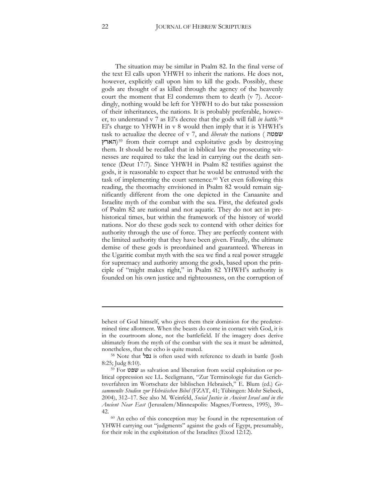The situation may be similar in Psalm 82. In the final verse of the text El calls upon YHWH to inherit the nations. He does not, however, explicitly call upon him to kill the gods. Possibly, these gods are thought of as killed through the agency of the heavenly court the moment that El condemns them to death (v 7). Accordingly, nothing would be left for YHWH to do but take possession of their inheritances, the nations. It is probably preferable, however, to understand v 7 as El's decree that the gods will fall *in battle*.[58](#page-21-0) El's charge to YHWH in v 8 would then imply that it is YHWH's task to actualize the decree of v 7, and *liberate* the nations (  $w$ **500** הארץ)<sup>[59](#page-21-1)</sup> from their corrupt and exploitative gods by destroying them. It should be recalled that in biblical law the prosecuting witnesses are required to take the lead in carrying out the death sentence (Deut 17:7). Since YHWH in Psalm 82 testifies against the gods, it is reasonable to expect that he would be entrusted with the task of implementing the court sentence.<sup>[60](#page-21-2)</sup> Yet even following this reading, the theomachy envisioned in Psalm 82 would remain significantly different from the one depicted in the Canaanite and Israelite myth of the combat with the sea. First, the defeated gods of Psalm 82 are national and not aquatic. They do not act in prehistorical times, but within the framework of the history of world nations. Nor do these gods seek to contend with other deities for authority through the use of force. They are perfectly content with the limited authority that they have been given. Finally, the ultimate demise of these gods is preordained and guaranteed. Whereas in the Ugaritic combat myth with the sea we find a real power struggle for supremacy and authority among the gods, based upon the principle of "might makes right," in Psalm 82 YHWH's authority is founded on his own justice and righteousness, on the corruption of

<u>.</u>

behest of God himself, who gives them their dominion for the predetermined time allotment. When the beasts do come in contact with God, it is in the courtroom alone, not the battlefield. If the imagery does derive ultimately from the myth of the combat with the sea it must be admitted, nonetheless, that the echo is quite muted.

<span id="page-21-0"></span><sup>58</sup> Note that נפל is often used with reference to death in battle (Josh 8:25; Judg 8:10). 59 For  $\frac{59}{59}$  For  $\frac{64}{59}$  as salvation and liberation from social exploitation or po-

<span id="page-21-1"></span>litical oppression see I.L. Seeligmann, "Zur Terminologie fur das Gerichtsverfahren im Wortschatz der biblischen Hebraisch," E. Blum (ed.) *Gesammenlte Studien zur Hebräischen Bibel* (FZAT, 41^ Tübingen: Mohr Siebeck, 2004), 312–17. See also M. Weinfeld, *Social Justice in Ancient Israel and in the Ancient Near East* (Jerusalem/Minneapolis: Magnes/Fortress, 1995), 39–

<span id="page-21-2"></span><sup>42.&</sup>lt;br><sup>60</sup> An echo of this conception may be found in the representation of YHWH carrying out "judgments" against the gods of Egypt, presumably, for their role in the exploitation of the Israelites (Exod 12:12).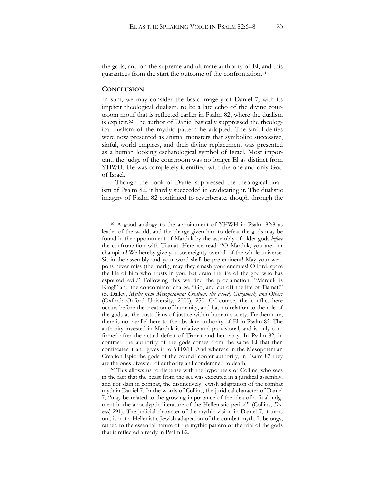the gods, and on the supreme and ultimate authority of El, and this guarantees from the start the outcome of the confrontation.[61](#page-22-0)

#### **CONCLUSION**

 $\ddot{\phantom{a}}$ 

In sum, we may consider the basic imagery of Daniel 7, with its implicit theological dualism, to be a late echo of the divine courtroom motif that is reflected earlier in Psalm 82, where the dualism is explicit.[62](#page-22-1) The author of Daniel basically suppressed the theological dualism of the mythic pattern he adopted. The sinful deities were now presented as animal monsters that symbolize successive, sinful, world empires, and their divine replacement was presented as a human looking eschatological symbol of Israel. Most important, the judge of the courtroom was no longer El as distinct from YHWH. He was completely identified with the one and only God of Israel.

Though the book of Daniel suppressed the theological dualism of Psalm 82, it hardly succeeded in eradicating it. The dualistic imagery of Psalm 82 continued to reverberate, though through the

<span id="page-22-0"></span><sup>61</sup> A good analogy to the appointment of YHWH in Psalm 82:8 as leader of the world, and the charge given him to defeat the gods may be found in the appointment of Marduk by the assembly of older gods *before* the confrontation with Tiamat. Here we read: "O Marduk, you are our champion! We hereby give you sovereignty over all of the whole universe. Sit in the assembly and your word shall be pre-eminent! May your weapons never miss (the mark), may they smash your enemies! O lord, spare the life of him who trusts in you, but drain the life of the god who has espoused evil." Following this we find the proclamation: "Marduk is King!" and the concomitant charge, "Go, and cut off the life of Tiamat!" (S. Dalley, *Myths from Mesopotamia: Creation, the Flood, Gilgamesh, and Others* (Oxford: Oxford University, 2000), 250. Of course, the conflict here occurs before the creation of humanity, and has no relation to the role of the gods as the custodians of justice within human society. Furthermore, there is no parallel here to the absolute authority of El in Psalm 82. The authority invested in Marduk is relative and provisional, and is only confirmed after the actual defeat of Tiamat and her party. In Psalm 82, in contrast, the authority of the gods comes from the same El that then confiscates it and gives it to YHWH. And whereas in the Mesopotamian Creation Epic the gods of the council confer authority, in Psalm 82 they are the ones divested of authority and condemned to death. 62 This allows us to dispense with the hypothesis of Collins, who sees

<span id="page-22-1"></span>in the fact that the beast from the sea was executed in a juridical assembly, and not slain in combat, the distinctively Jewish adaptation of the combat myth in Daniel 7. In the words of Collins, the juridical character of Daniel 7, "may be related to the growing importance of the idea of a final judgment in the apocalyptic literature of the Hellenistic period" (Collins, *Daniel*, 291). The judicial character of the mythic vision in Daniel 7, it turns out, is not a Hellenistic Jewish adaptation of the combat myth. It belongs, rather, to the essential nature of the mythic pattern of the trial of the gods that is reflected already in Psalm 82.